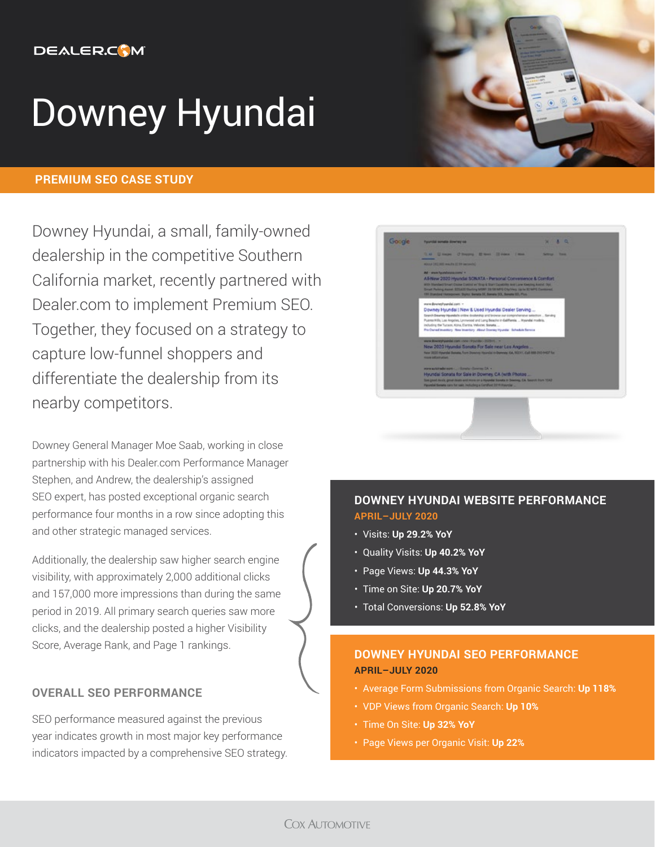# **DEALER.COM**

# Downey Hyundai

## **PREMIUM SEO CASE STUDY**

Downey Hyundai, a small, family-owned dealership in the competitive Southern California market, recently partnered with Dealer.com to implement Premium SEO. Together, they focused on a strategy to capture low-funnel shoppers and differentiate the dealership from its nearby competitors.

Downey General Manager Moe Saab, working in close partnership with his Dealer.com Performance Manager Stephen, and Andrew, the dealership's assigned SEO expert, has posted exceptional organic search performance four months in a row since adopting this and other strategic managed services.

Additionally, the dealership saw higher search engine visibility, with approximately 2,000 additional clicks and 157,000 more impressions than during the same period in 2019. All primary search queries saw more clicks, and the dealership posted a higher Visibility Score, Average Rank, and Page 1 rankings.

## **OVERALL SEO PERFORMANCE**

SEO performance measured against the previous year indicates growth in most major key performance indicators impacted by a comprehensive SEO strategy.





# **DOWNEY HYUNDAI WEBSITE PERFORMANCE APRIL–JULY 2020**

- Visits: **Up 29.2% YoY**
- Quality Visits: **Up 40.2% YoY**
- Page Views: **Up 44.3% YoY**
- Time on Site: **Up 20.7% YoY**
- Total Conversions: **Up 52.8% YoY**

## **DOWNEY HYUNDAI SEO PERFORMANCE APRIL–JULY 2020**

- Average Form Submissions from Organic Search: **Up 118%**
- VDP Views from Organic Search: **Up 10%**
- Time On Site: **Up 32% YoY**
- Page Views per Organic Visit: **Up 22%**